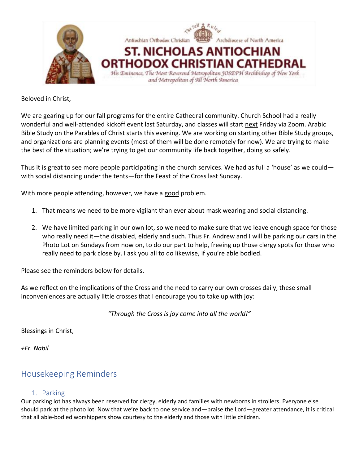

Beloved in Christ,

We are gearing up for our fall programs for the entire Cathedral community. Church School had a really wonderful and well-attended kickoff event last Saturday, and classes will start next Friday via Zoom. Arabic Bible Study on the Parables of Christ starts this evening. We are working on starting other Bible Study groups, and organizations are planning events (most of them will be done remotely for now). We are trying to make the best of the situation; we're trying to get our community life back together, doing so safely.

Thus it is great to see more people participating in the church services. We had as full a 'house' as we could with social distancing under the tents—for the Feast of the Cross last Sunday.

With more people attending, however, we have a good problem.

- 1. That means we need to be more vigilant than ever about mask wearing and social distancing.
- 2. We have limited parking in our own lot, so we need to make sure that we leave enough space for those who really need it—the disabled, elderly and such. Thus Fr. Andrew and I will be parking our cars in the Photo Lot on Sundays from now on, to do our part to help, freeing up those clergy spots for those who really need to park close by. I ask you all to do likewise, if you're able bodied.

Please see the reminders below for details.

As we reflect on the implications of the Cross and the need to carry our own crosses daily, these small inconveniences are actually little crosses that I encourage you to take up with joy:

*"Through the Cross is joy come into all the world!"*

Blessings in Christ,

*+Fr. Nabil*

## Housekeeping Reminders

#### 1. Parking

Our parking lot has always been reserved for clergy, elderly and families with newborns in strollers. Everyone else should park at the photo lot. Now that we're back to one service and—praise the Lord—greater attendance, it is critical that all able-bodied worshippers show courtesy to the elderly and those with little children.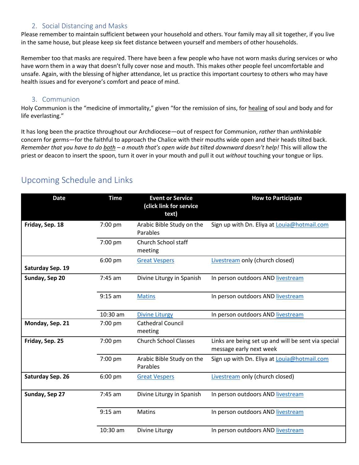#### 2. Social Distancing and Masks

Please remember to maintain sufficient between your household and others. Your family may all sit together, if you live in the same house, but please keep six feet distance between yourself and members of other households.

Remember too that masks are required. There have been a few people who have not worn masks during services or who have worn them in a way that doesn't fully cover nose and mouth. This makes other people feel uncomfortable and unsafe. Again, with the blessing of higher attendance, let us practice this important courtesy to others who may have health issues and for everyone's comfort and peace of mind.

#### 3. Communion

Holy Communion is the "medicine of immortality," given "for the remission of sins, for healing of soul and body and for life everlasting."

It has long been the practice throughout our Archdiocese—out of respect for Communion, *rather* than *unthinkable* concern for germs—for the faithful to approach the Chalice with their mouths wide open and their heads tilted back. *Remember that you have to do both – a mouth that's open wide but tilted downward doesn't help!* This will allow the priest or deacon to insert the spoon, turn it over in your mouth and pull it out *without* touching your tongue or lips.

| <b>Date</b>      | <b>Time</b> | <b>Event or Service</b><br>(click link for service<br>text) | <b>How to Participate</b>                                                      |
|------------------|-------------|-------------------------------------------------------------|--------------------------------------------------------------------------------|
| Friday, Sep. 18  | 7:00 pm     | Arabic Bible Study on the<br>Parables                       | Sign up with Dn. Eliya at Louia@hotmail.com                                    |
|                  | 7:00 pm     | <b>Church School staff</b><br>meeting                       |                                                                                |
| Saturday Sep. 19 | $6:00$ pm   | <b>Great Vespers</b>                                        | Livestream only (church closed)                                                |
| Sunday, Sep 20   | 7:45 am     | Divine Liturgy in Spanish                                   | In person outdoors AND livestream                                              |
|                  | $9:15$ am   | <b>Matins</b>                                               | In person outdoors AND livestream                                              |
|                  | 10:30 am    | <b>Divine Liturgy</b>                                       | In person outdoors AND livestream                                              |
| Monday, Sep. 21  | 7:00 pm     | <b>Cathedral Council</b><br>meeting                         |                                                                                |
| Friday, Sep. 25  | 7:00 pm     | <b>Church School Classes</b>                                | Links are being set up and will be sent via special<br>message early next week |
|                  | 7:00 pm     | Arabic Bible Study on the<br>Parables                       | Sign up with Dn. Eliya at Louia@hotmail.com                                    |
| Saturday Sep. 26 | $6:00$ pm   | <b>Great Vespers</b>                                        | Livestream only (church closed)                                                |
| Sunday, Sep 27   | 7:45 am     | Divine Liturgy in Spanish                                   | In person outdoors AND livestream                                              |
|                  | $9:15$ am   | Matins                                                      | In person outdoors AND livestream                                              |
|                  | 10:30 am    | Divine Liturgy                                              | In person outdoors AND livestream                                              |

## Upcoming Schedule and Links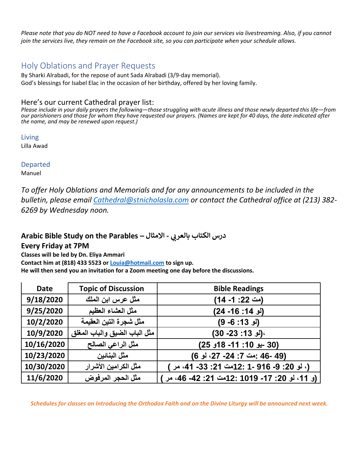*Please note that you do NOT need to have a Facebook account to join our services via livestreaming. Also, if you cannot join the services live, they remain on the Facebook site, so you can participate when your schedule allows.*

## Holy Oblations and Prayer Requests

By Sharki Alrabadi, for the repose of aunt Sada Alrabadi (3/9-day memorial). God's blessings for Isabel Elac in the occasion of her birthday, offered by her loving family.

#### Here's our current Cathedral prayer list:

*Please include in your daily prayers the following—those struggling with acute illness and those newly departed this life—from our parishioners and those for whom they have requested our prayers. (Names are kept for 40 days, the date indicated after the name, and may be renewed upon request.)*

Living Lilla Awad

Departed

Manuel

*To offer Holy Oblations and Memorials and for any announcements to be included in the bulletin, please email [Cathedral@stnicholasla.com](mailto:Cathedral@stnicholasla.com) or contact the Cathedral office at (213) 382- 6269 by Wednesday noon.*

# **Arabic Bible Study on the Parables – يب درس الكتاب بالعر - االمثال**

### **Every Friday at 7PM**

**Classes will be led by Dn. Eliya Ammari**

**Contact him at (818) 433 5523 or [Louia@hotmail.com](mailto:Louia@hotmail.com) to sign up.**

**He will then send you an invitation for a Zoom meeting one day before the discussions.** 

| <b>Date</b> | <b>Topic of Discussion</b>    | <b>Bible Readings</b>                       |
|-------------|-------------------------------|---------------------------------------------|
| 9/18/2020   | مثل عرس ابن الملك             | (مت 22: 1- 14)                              |
| 9/25/2020   | مثل العشاء العظيم             | (لو 14: 16- 24)                             |
| 10/2/2020   | مثل شجرة النين العقيمة        | (لو 13: 6- 9)                               |
| 10/9/2020   | مثل الباب الضيق والباب المغلق | (لو 13: 23- 30)                             |
| 10/16/2020  | مثل الراعي الصالح             | (30 -يو 10: 11- 18و 25)                     |
| 10/23/2020  | مثل البنائين                  | (49 -46 :مت 7: 24- 27، لو 6)                |
| 10/30/2020  | مثل الكرامين الأشرار          | (، لو 20: 9- 916 -1 :12مت 21: 33- 41، مر )  |
| 11/6/2020   | مثل الحجر المرفوض             | (و 11، لو 20: 17- 1019 :12صت 21: 42- 46، مر |

*Schedules for classes on Introducing the Orthodox Faith and on the Divine Liturgy will be announced next week.*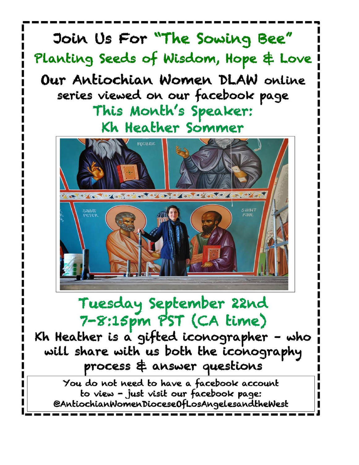

will share with us both the iconography process & answer questions

You do not need to have a facebook account to view - just visit our facebook page: @AntiochianWomenDiocese0fLosAngelesandtheWest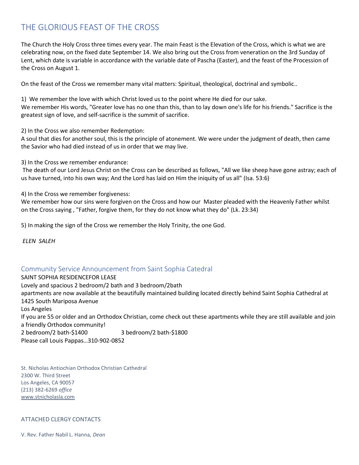## THE GLORIOUS FEAST OF THE CROSS

The Church the Holy Cross three times every year. The main Feast is the Elevation of the Cross, which is what we are celebrating now, on the fixed date September 14. We also bring out the Cross from veneration on the 3rd Sunday of Lent, which date is variable in accordance with the variable date of Pascha (Easter), and the feast of the Procession of the Cross on August 1.

On the feast of the Cross we remember many vital matters: Spiritual, theological, doctrinal and symbolic..

1) We remember the love with which Christ loved us to the point where He died for our sake. We remember His words, "Greater love has no one than this, than to lay down one's life for his friends." Sacrifice is the greatest sign of love, and self-sacrifice is the summit of sacrifice.

2) In the Cross we also remember Redemption:

A soul that dies for another soul, this is the principle of atonement. We were under the judgment of death, then came the Savior who had died instead of us in order that we may live.

3) In the Cross we remember endurance:

The death of our Lord Jesus Christ on the Cross can be described as follows, "All we like sheep have gone astray; each of us have turned, into his own way; And the Lord has laid on Him the iniquity of us all" (Isa. 53:6)

4) In the Cross we remember forgiveness:

We remember how our sins were forgiven on the Cross and how our Master pleaded with the Heavenly Father whilst on the Cross saying , "Father, forgive them, for they do not know what they do" (Lk. 23:34)

5) In making the sign of the Cross we remember the Holy Trinity, the one God.

*ELEN SALEH*

#### Community Service Announcement from Saint Sophia Catedral

SAINT SOPHIA RESIDENCEFOR LEASE Lovely and spacious 2 bedroom/2 bath and 3 bedroom/2bath apartments are now available at the beautifully maintained building located directly behind Saint Sophia Cathedral at 1425 South Mariposa Avenue Los Angeles If you are 55 or older and an Orthodox Christian, come check out these apartments while they are still available and join a friendly Orthodox community! 2 bedroom/2 bath-\$1400 3 bedroom/2 bath-\$1800 Please call Louis Pappas…310-902-0852

St. Nicholas Antiochian Orthodox Christian Cathedral 2300 W. Third Street Los Angeles, CA 90057 (213) 382-6269 *office* [www.stnicholasla.com](https://nam04.safelinks.protection.outlook.com/?url=http%3A%2F%2Fwww.stnicholasla.com%2F&data=02%7C01%7C%7C512f51a30c31415138e708d850ef7c8f%7C84df9e7fe9f640afb435aaaaaaaaaaaa%7C1%7C0%7C637348336808155559&sdata=KIsLo8yGrRck1W5K76AEdkDmt90jIl9n%2B4GPYl3wQ9A%3D&reserved=0)

#### ATTACHED CLERGY CONTACTS

V. Rev. Father Nabil L. Hanna, *Dean*